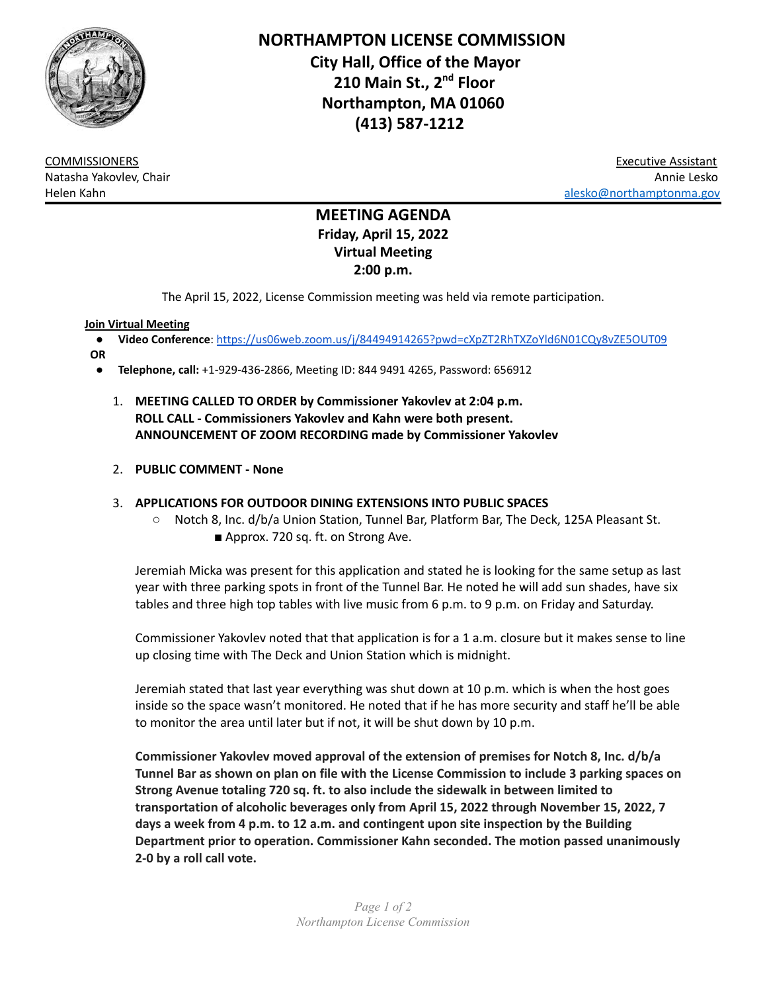

**NORTHAMPTON LICENSE COMMISSION City Hall, Office of the Mayor 210 Main St., 2 nd Floor Northampton, MA 01060 (413) 587-1212**

COMMISSIONERS Executive Assistant Natasha Yakovlev, Chair Annie Lesko Helen Kahn [alesko@northamptonma.gov](mailto:alesko@northamptonma.gov)

# **MEETING AGENDA Friday, April 15, 2022 Virtual Meeting 2:00 p.m.**

The April 15, 2022, License Commission meeting was held via remote participation.

#### **Join Virtual Meeting**

- **Video Conference**: <https://us06web.zoom.us/j/84494914265?pwd=cXpZT2RhTXZoYld6N01CQy8vZE5OUT09>
- **OR**
	- **Telephone, call:** +1-929-436-2866, Meeting ID: 844 9491 4265, Password: 656912
		- 1. **MEETING CALLED TO ORDER by Commissioner Yakovlev at 2:04 p.m. ROLL CALL - Commissioners Yakovlev and Kahn were both present. ANNOUNCEMENT OF ZOOM RECORDING made by Commissioner Yakovlev**

#### 2. **PUBLIC COMMENT - None**

### 3. **APPLICATIONS FOR OUTDOOR DINING EXTENSIONS INTO PUBLIC SPACES**

- Notch 8, Inc. d/b/a Union Station, Tunnel Bar, Platform Bar, The Deck, 125A Pleasant St.
	- Approx. 720 sq. ft. on Strong Ave.

Jeremiah Micka was present for this application and stated he is looking for the same setup as last year with three parking spots in front of the Tunnel Bar. He noted he will add sun shades, have six tables and three high top tables with live music from 6 p.m. to 9 p.m. on Friday and Saturday.

Commissioner Yakovlev noted that that application is for a 1 a.m. closure but it makes sense to line up closing time with The Deck and Union Station which is midnight.

Jeremiah stated that last year everything was shut down at 10 p.m. which is when the host goes inside so the space wasn't monitored. He noted that if he has more security and staff he'll be able to monitor the area until later but if not, it will be shut down by 10 p.m.

**Commissioner Yakovlev moved approval of the extension of premises for Notch 8, Inc. d/b/a Tunnel Bar as shown on plan on file with the License Commission to include 3 parking spaces on Strong Avenue totaling 720 sq. ft. to also include the sidewalk in between limited to transportation of alcoholic beverages only from April 15, 2022 through November 15, 2022, 7 days a week from 4 p.m. to 12 a.m. and contingent upon site inspection by the Building Department prior to operation. Commissioner Kahn seconded. The motion passed unanimously 2-0 by a roll call vote.**